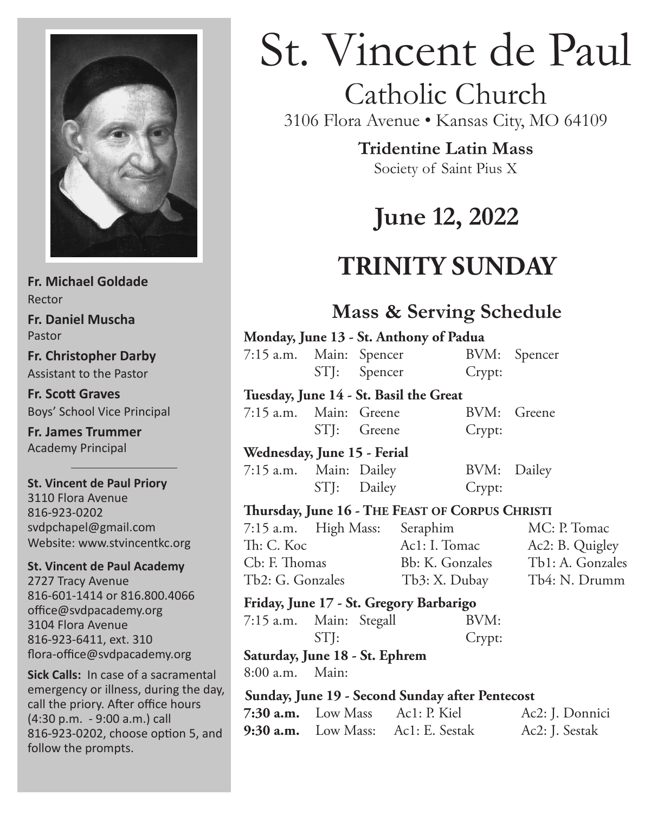

**Fr. Michael Goldade** Rector **Fr. Daniel Muscha** Pastor **Fr. Christopher Darby** Assistant to the Pastor

**Fr. Scott Graves** Boys' School Vice Principal

**Fr. James Trummer** Academy Principal

**St. Vincent de Paul Priory** 3110 Flora Avenue 816-923-0202 svdpchapel@gmail.com Website: www.stvincentkc.org

**St. Vincent de Paul Academy** 2727 Tracy Avenue 816-601-1414 or 816.800.4066 office@svdpacademy.org 3104 Flora Avenue 816-923-6411, ext. 310 flora-office@svdpacademy.org

**Sick Calls:** In case of a sacramental emergency or illness, during the day, call the priory. After office hours (4:30 p.m. - 9:00 a.m.) call 816-923-0202, choose option 5, and  $9:30$  a.m. follow the prompts.

# St. Vincent de Paul

# Catholic Church

3106 Flora Avenue • Kansas City, MO 64109

**Tridentine Latin Mass**

Society of Saint Pius X

# **June 12, 2022**

# **TRINITY SUNDAY**

## **Mass & Serving Schedule**

|  | Monday, June 13 - St. Anthony of Padua                                                                       |                                                 |             |                                           |                 |  |  |  |  |  |
|--|--------------------------------------------------------------------------------------------------------------|-------------------------------------------------|-------------|-------------------------------------------|-----------------|--|--|--|--|--|
|  |                                                                                                              |                                                 |             | 7:15 a.m. Main: Spencer BVM: Spencer      |                 |  |  |  |  |  |
|  |                                                                                                              |                                                 |             | STJ: Spencer<br>Crypt:                    |                 |  |  |  |  |  |
|  | Tuesday, June 14 - St. Basil the Great                                                                       |                                                 |             |                                           |                 |  |  |  |  |  |
|  | 7:15 a.m. Main: Greene                                                                                       |                                                 |             |                                           | BVM: Greene     |  |  |  |  |  |
|  |                                                                                                              |                                                 | STJ: Greene | Crypt:                                    |                 |  |  |  |  |  |
|  | Wednesday, June 15 - Ferial                                                                                  |                                                 |             |                                           |                 |  |  |  |  |  |
|  | 7:15 a.m. Main: Dailey                                                                                       |                                                 |             | BVM:                                      | Dailey          |  |  |  |  |  |
|  |                                                                                                              |                                                 |             | STJ: Dailey Crypt:                        |                 |  |  |  |  |  |
|  | Thursday, June 16 - THE FEAST OF CORPUS CHRISTI                                                              |                                                 |             |                                           |                 |  |  |  |  |  |
|  | 7:15 a.m. High Mass: Seraphim                                                                                |                                                 |             |                                           | MC: P. Tomac    |  |  |  |  |  |
|  | Th: C. Koc<br>Cb: F. Thomas Bb: K. Gonzales Tb1: A. Gonzales<br>Tb2: G. Gonzales Tb3: X. Dubay Tb4: N. Drumm |                                                 |             | Ac1: I. Tomac                             | Ac2: B. Quigley |  |  |  |  |  |
|  |                                                                                                              |                                                 |             |                                           |                 |  |  |  |  |  |
|  |                                                                                                              |                                                 |             |                                           |                 |  |  |  |  |  |
|  | Friday, June 17 - St. Gregory Barbarigo                                                                      |                                                 |             |                                           |                 |  |  |  |  |  |
|  | 7:15 a.m. Main: Stegall                                                                                      |                                                 |             | BVM:                                      |                 |  |  |  |  |  |
|  |                                                                                                              | STI:                                            |             | Crypt:                                    |                 |  |  |  |  |  |
|  | Saturday, June 18 - St. Ephrem                                                                               |                                                 |             |                                           |                 |  |  |  |  |  |
|  | 8:00 a.m. Main:                                                                                              |                                                 |             |                                           |                 |  |  |  |  |  |
|  |                                                                                                              | Sunday, June 19 - Second Sunday after Pentecost |             |                                           |                 |  |  |  |  |  |
|  |                                                                                                              |                                                 |             | 7:30 a.m. Low Mass Ac1: P. Kiel           | Ac2: J. Donnici |  |  |  |  |  |
|  |                                                                                                              |                                                 |             | <b>9:30 a.m.</b> Low Mass: Ac1: E. Sestak | Ac2: J. Sestak  |  |  |  |  |  |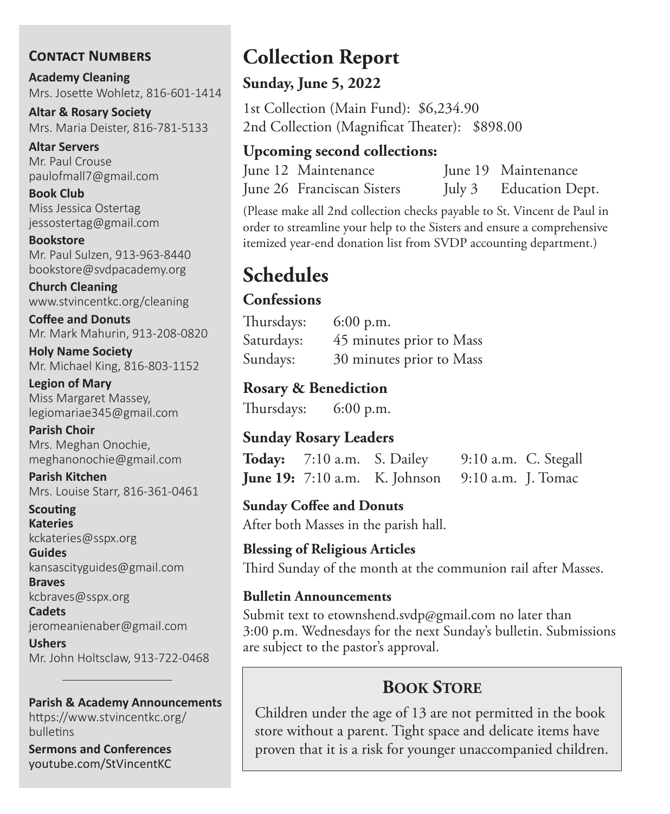#### **Contact Numbers**

**Academy Cleaning** Mrs. Josette Wohletz, 816-601-1414

**Altar & Rosary Society** Mrs. Maria Deister, 816-781-5133

**Altar Servers** Mr. Paul Crouse paulofmall7@gmail.com

**Book Club** Miss Jessica Ostertag jessostertag@gmail.com

**Bookstore** Mr. Paul Sulzen, 913-963-8440 bookstore@svdpacademy.org

**Church Cleaning** www.stvincentkc.org/cleaning

**Coffee and Donuts** Mr. Mark Mahurin, 913-208-0820

**Holy Name Society** Mr. Michael King, 816-803-1152

**Legion of Mary** Miss Margaret Massey, legiomariae345@gmail.com

**Parish Choir** Mrs. Meghan Onochie, meghanonochie@gmail.com

**Parish Kitchen** Mrs. Louise Starr, 816-361-0461

**Scouting Kateries** kckateries@sspx.org

**Guides** kansascityguides@gmail.com

**Braves** kcbraves@sspx.org

**Cadets** jeromeanienaber@gmail.com

**Ushers** Mr. John Holtsclaw, 913-722-0468

#### **Parish & Academy Announcements**

https://www.stvincentkc.org/ bulletins

**Sermons and Conferences** youtube.com/StVincentKC

# **Collection Report**

#### **Sunday, June 5, 2022**

1st Collection (Main Fund): \$6,234.90 2nd Collection (Magnificat Theater): \$898.00

#### **Upcoming second collections:**

June 12 Maintenance June 19 Maintenance June 26 Franciscan Sisters July 3 Education Dept.

(Please make all 2nd collection checks payable to St. Vincent de Paul in order to streamline your help to the Sisters and ensure a comprehensive itemized year-end donation list from SVDP accounting department.)

# **Schedules**

#### **Confessions**

Thursdays: 6:00 p.m. Saturdays: 45 minutes prior to Mass Sundays: 30 minutes prior to Mass

#### **Rosary & Benediction**

Thursdays: 6:00 p.m.

#### **Sunday Rosary Leaders**

| Today: 7:10 a.m. S. Dailey |                                                         | 9:10 a.m. C. Stegall |  |
|----------------------------|---------------------------------------------------------|----------------------|--|
|                            | <b>June 19:</b> 7:10 a.m. K. Johnson 9:10 a.m. J. Tomac |                      |  |

**Sunday Coffee and Donuts** After both Masses in the parish hall.

#### **Blessing of Religious Articles**

Third Sunday of the month at the communion rail after Masses.

#### **Bulletin Announcements**

Submit text to etownshend.svdp@gmail.com no later than 3:00 p.m. Wednesdays for the next Sunday's bulletin. Submissions are subject to the pastor's approval.

### **Book Store**

Children under the age of 13 are not permitted in the book store without a parent. Tight space and delicate items have proven that it is a risk for younger unaccompanied children.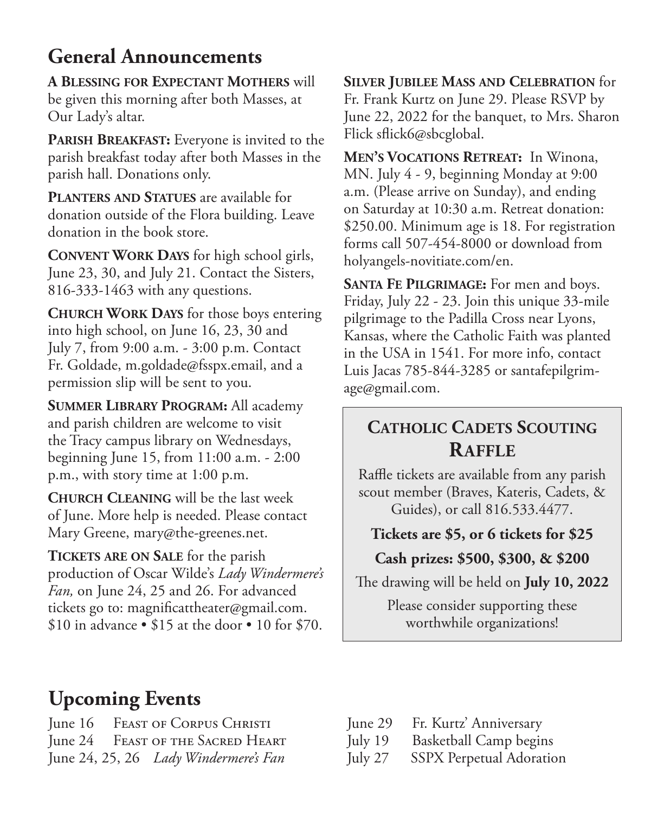# **General Announcements**

**A Blessing for Expectant Mothers** will be given this morning after both Masses, at Our Lady's altar.

PARISH BREAKFAST: Everyone is invited to the parish breakfast today after both Masses in the parish hall. Donations only.

**Planters and Statues** are available for donation outside of the Flora building. Leave donation in the book store.

**Convent Work Days** for high school girls, June 23, 30, and July 21. Contact the Sisters, 816-333-1463 with any questions.

**Church Work Days** for those boys entering into high school, on June 16, 23, 30 and July 7, from 9:00 a.m. - 3:00 p.m. Contact Fr. Goldade, m.goldade@fsspx.email, and a permission slip will be sent to you.

**Summer Library Program:** All academy and parish children are welcome to visit the Tracy campus library on Wednesdays, beginning June 15, from 11:00 a.m. - 2:00 p.m., with story time at 1:00 p.m.

**Church Cleaning** will be the last week of June. More help is needed. Please contact Mary Greene, mary@the-greenes.net.

**Tickets are on Sale** for the parish production of Oscar Wilde's *Lady Windermere's Fan,* on June 24, 25 and 26. For advanced tickets go to: magnificattheater@gmail.com. \$10 in advance  $\cdot$  \$15 at the door  $\cdot$  10 for \$70.

**Silver Jubilee Mass and Celebration** for Fr. Frank Kurtz on June 29. Please RSVP by June 22, 2022 for the banquet, to Mrs. Sharon Flick sflick6@sbcglobal.

**Men's Vocations Retreat:** In Winona, MN. July 4 - 9, beginning Monday at 9:00 a.m. (Please arrive on Sunday), and ending on Saturday at 10:30 a.m. Retreat donation: \$250.00. Minimum age is 18. For registration forms call 507-454-8000 or download from holyangels-novitiate.com/en.

**Santa Fe Pilgrimage:** For men and boys. Friday, July 22 - 23. Join this unique 33-mile pilgrimage to the Padilla Cross near Lyons, Kansas, where the Catholic Faith was planted in the USA in 1541. For more info, contact Luis Jacas 785-844-3285 or santafepilgrimage@gmail.com.

### **Catholic Cadets Scouting Raffle**

Raffle tickets are available from any parish scout member (Braves, Kateris, Cadets, & Guides), or call 816.533.4477.

#### **Tickets are \$5, or 6 tickets for \$25**

#### **Cash prizes: \$500, \$300, & \$200**

The drawing will be held on **July 10, 2022**

Please consider supporting these worthwhile organizations!

# **Upcoming Events**

June 16 Feast of Corpus Christi June 24 Feast of the Sacred Heart June 24, 25, 26 *Lady Windermere's Fan*

- June 29 Fr. Kurtz' Anniversary July 19 Basketball Camp begins
- July 27 SSPX Perpetual Adoration